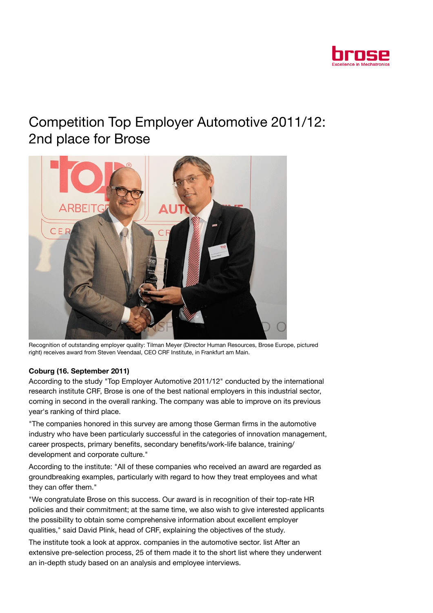

## Competition Top Employer Automotive 2011/12: 2nd place for Brose



Recognition of outstanding employer quality: Tilman Meyer (Director Human Resources, Brose Europe, pictured right) receives award from Steven Veendaal, CEO CRF Institute, in Frankfurt am Main.

## Coburg (16. September 2011)

According to the study "Top Employer Automotive 2011/12" conducted by the international research institute CRF, Brose is one of the best national employers in this industrial sector, coming in second in the overall ranking. The company was able to improve on its previous year's ranking of third place.

"The companies honored in this survey are among those German firms in the automotive industry who have been particularly successful in the categories of innovation management, career prospects, primary benefits, secondary benefits/work-life balance, training/ development and corporate culture."

According to the institute: "All of these companies who received an award are regarded as groundbreaking examples, particularly with regard to how they treat employees and what they can offer them."

"We congratulate Brose on this success. Our award is in recognition of their top-rate HR policies and their commitment; at the same time, we also wish to give interested applicants the possibility to obtain some comprehensive information about excellent employer qualities," said David Plink, head of CRF, explaining the objectives of the study.

The institute took a look at approx. companies in the automotive sector. list After an extensive pre-selection process, 25 of them made it to the short list where they underwent an in-depth study based on an analysis and employee interviews.